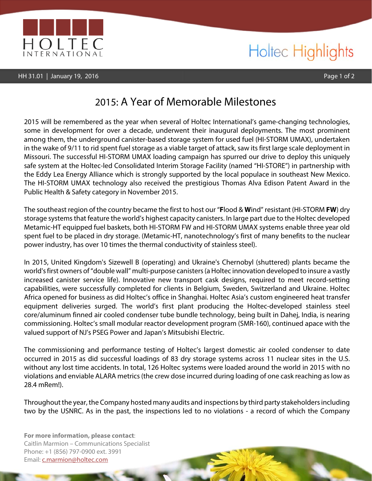

## Holtec Highlights

## 2015: A Year of Memorable Milestones

2015 will be remembered as the year when several of Holtec International's game-changing technologies, some in development for over a decade, underwent their inaugural deployments. The most prominent among them, the underground canister-based storage system for used fuel (HI-STORM UMAX), undertaken in the wake of 9/11 to rid spent fuel storage as a viable target of attack, saw its first large scale deployment in Missouri. The successful HI-STORM UMAX loading campaign has spurred our drive to deploy this uniquely safe system at the Holtec-led Consolidated Interim Storage Facility (named "HI-STORE") in partnership with the Eddy Lea Energy Alliance which is strongly supported by the local populace in southeast New Mexico. The HI-STORM UMAX technology also received the prestigious Thomas Alva Edison Patent Award in the Public Health & Safety category in November 2015.

The southeast region of the country became the first to host our "**F**lood & **W**ind" resistant (HI-STORM **FW**) dry storage systems that feature the world's highest capacity canisters. In large part due to the Holtec developed Metamic-HT equipped fuel baskets, both HI-STORM FW and HI-STORM UMAX systems enable three year old spent fuel to be placed in dry storage. (Metamic-HT, nanotechnology's first of many benefits to the nuclear power industry, has over 10 times the thermal conductivity of stainless steel).

In 2015, United Kingdom's Sizewell B (operating) and Ukraine's Chernobyl (shuttered) plants became the world's first owners of "double wall" multi-purpose canisters (a Holtec innovation developed to insure a vastly increased canister service life). Innovative new transport cask designs, required to meet record-setting capabilities, were successfully completed for clients in Belgium, Sweden, Switzerland and Ukraine. Holtec Africa opened for business as did Holtec's office in Shanghai. Holtec Asia's custom engineered heat transfer equipment deliveries surged. The world's first plant producing the Holtec-developed stainless steel core/aluminum finned air cooled condenser tube bundle technology, being built in Dahej, India, is nearing commissioning. Holtec's small modular reactor development program (SMR-160), continued apace with the valued support of NJ's PSEG Power and Japan's Mitsubishi Electric.

The commissioning and performance testing of Holtec's largest domestic air cooled condenser to date occurred in 2015 as did successful loadings of 83 dry storage systems across 11 nuclear sites in the U.S. without any lost time accidents. In total, 126 Holtec systems were loaded around the world in 2015 with no violations and enviable ALARA metrics (the crew dose incurred during loading of one cask reaching as low as 28.4 mRem!).

Throughout the year, the Company hosted many audits and inspections by third party stakeholders including two by the USNRC. As in the past, the inspections led to no violations - a record of which the Company

**For more information, please contact**: Caitlin Marmion – Communications Specialist Phone: +1 (856) 797-0900 ext. 3991 Email: c.marmion@holtec.com